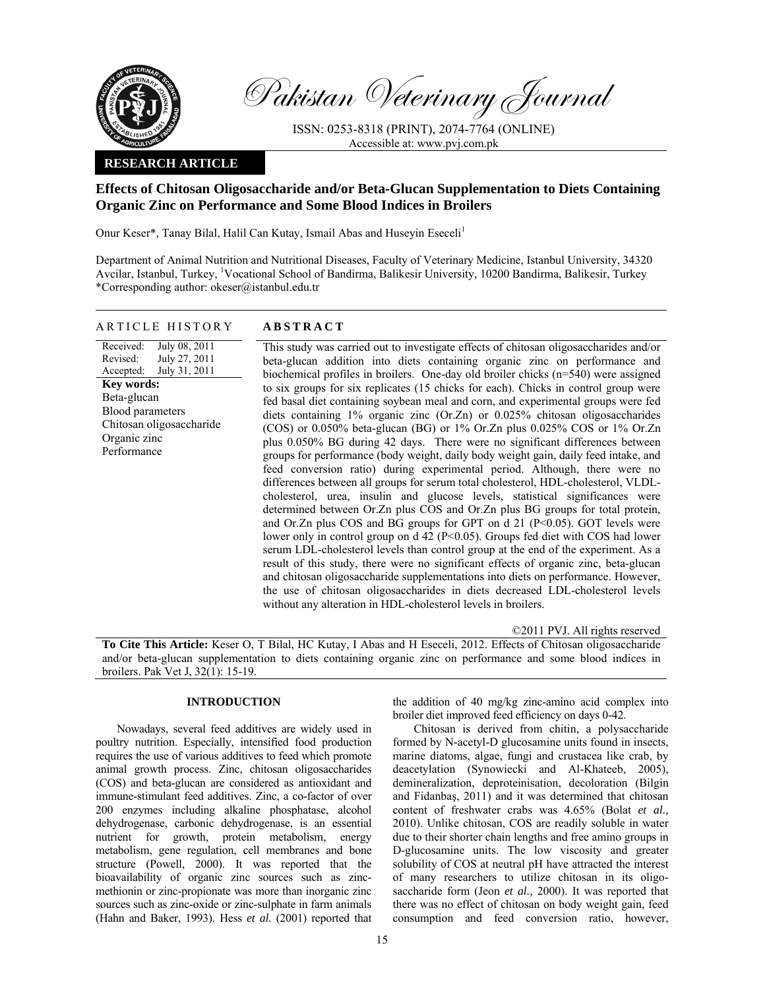

Pakistan Veterinary Journal

ISSN: 0253-8318 (PRINT), 2074-7764 (ONLINE) Accessible at: www.pvj.com.pk

## **RESEARCH ARTICLE**

# **Effects of Chitosan Oligosaccharide and/or Beta-Glucan Supplementation to Diets Containing Organic Zinc on Performance and Some Blood Indices in Broilers**

Onur Keser\*, Tanay Bilal, Halil Can Kutay, Ismail Abas and Huseyin Eseceli<sup>1</sup>

Department of Animal Nutrition and Nutritional Diseases, Faculty of Veterinary Medicine, Istanbul University, 34320 Avcilar, Istanbul, Turkey, <sup>1</sup>Vocational School of Bandirma, Balikesir University, 10200 Bandirma, Balikesir, Turkey \*Corresponding author: okeser@istanbul.edu.tr

| ARTICLE HISTORY                                                                                                                                                                                       | <b>ABSTRACT</b>                                                                                                                                                                                                                                                                                                                                                                                                                                                                                                                                                                                                                                                                                                                                                                                                                                                                                                                                                                                                                                                                                                                                                                                                                                                                                                                                                                                                                                                                                                                                                                                                                                                                                                       |
|-------------------------------------------------------------------------------------------------------------------------------------------------------------------------------------------------------|-----------------------------------------------------------------------------------------------------------------------------------------------------------------------------------------------------------------------------------------------------------------------------------------------------------------------------------------------------------------------------------------------------------------------------------------------------------------------------------------------------------------------------------------------------------------------------------------------------------------------------------------------------------------------------------------------------------------------------------------------------------------------------------------------------------------------------------------------------------------------------------------------------------------------------------------------------------------------------------------------------------------------------------------------------------------------------------------------------------------------------------------------------------------------------------------------------------------------------------------------------------------------------------------------------------------------------------------------------------------------------------------------------------------------------------------------------------------------------------------------------------------------------------------------------------------------------------------------------------------------------------------------------------------------------------------------------------------------|
| July 08, 2011<br>Received:<br>July 27, 2011<br>Revised:<br>Accepted: July 31, 2011<br><b>Key words:</b><br>Beta-glucan<br>Blood parameters<br>Chitosan oligosaccharide<br>Organic zinc<br>Performance | This study was carried out to investigate effects of chitosan oligosaccharides and/or<br>beta-glucan addition into diets containing organic zinc on performance and<br>biochemical profiles in broilers. One-day old broiler chicks $(n=540)$ were assigned<br>to six groups for six replicates (15 chicks for each). Chicks in control group were<br>fed basal diet containing soybean meal and corn, and experimental groups were fed<br>diets containing $1\%$ organic zinc (Or.Zn) or 0.025% chitosan oligosaccharides<br>(COS) or 0.050% beta-glucan (BG) or $1\%$ Or. Zn plus 0.025% COS or $1\%$ Or. Zn<br>plus 0.050% BG during 42 days. There were no significant differences between<br>groups for performance (body weight, daily body weight gain, daily feed intake, and<br>feed conversion ratio) during experimental period. Although, there were no<br>differences between all groups for serum total cholesterol, HDL-cholesterol, VLDL-<br>cholesterol, urea, insulin and glucose levels, statistical significances were<br>determined between Or.Zn plus COS and Or.Zn plus BG groups for total protein,<br>and Or.Zn plus COS and BG groups for GPT on d 21 (P<0.05). GOT levels were<br>lower only in control group on $d$ 42 (P<0.05). Groups fed diet with COS had lower<br>serum LDL-cholesterol levels than control group at the end of the experiment. As a<br>result of this study, there were no significant effects of organic zinc, beta-glucan<br>and chitosan oligosaccharide supplementations into diets on performance. However,<br>the use of chitosan oligosaccharides in diets decreased LDL-cholesterol levels<br>without any alteration in HDL-cholesterol levels in broilers. |
|                                                                                                                                                                                                       |                                                                                                                                                                                                                                                                                                                                                                                                                                                                                                                                                                                                                                                                                                                                                                                                                                                                                                                                                                                                                                                                                                                                                                                                                                                                                                                                                                                                                                                                                                                                                                                                                                                                                                                       |

**To Cite This Article:** Keser O, T Bilal, HC Kutay, I Abas and H Eseceli, 2012. Effects of Chitosan oligosaccharide and/or beta-glucan supplementation to diets containing organic zinc on performance and some blood indices in broilers. Pak Vet J, 32(1): 15-19.

## **INTRODUCTION**

Nowadays, several feed additives are widely used in poultry nutrition. Especially, intensified food production requires the use of various additives to feed which promote animal growth process. Zinc, chitosan oligosaccharides (COS) and beta-glucan are considered as antioxidant and immune-stimulant feed additives. Zinc, a co-factor of over 200 enzymes including alkaline phosphatase, alcohol dehydrogenase, carbonic dehydrogenase, is an essential nutrient for growth, protein metabolism, energy metabolism, gene regulation, cell membranes and bone structure (Powell, 2000). It was reported that the bioavailability of organic zinc sources such as zincmethionin or zinc-propionate was more than inorganic zinc sources such as zinc-oxide or zinc-sulphate in farm animals (Hahn and Baker, 1993). Hess *et al.* (2001) reported that

the addition of 40 mg/kg zinc-amino acid complex into broiler diet improved feed efficiency on days 0-42.

©2011 PVJ. All rights reserved

Chitosan is derived from chitin, a polysaccharide formed by N-acetyl-D glucosamine units found in insects, marine diatoms, algae, fungi and crustacea like crab, by deacetylation (Synowiecki and Al-Khateeb, 2005), demineralization, deproteinisation, decoloration (Bilgin and Fidanbaş, 2011) and it was determined that chitosan content of freshwater crabs was 4.65% (Bolat *et al.,* 2010). Unlike chitosan, COS are readily soluble in water due to their shorter chain lengths and free amino groups in D-glucosamine units. The low viscosity and greater solubility of COS at neutral pH have attracted the interest of many researchers to utilize chitosan in its oligosaccharide form (Jeon *et al.,* 2000). It was reported that there was no effect of chitosan on body weight gain, feed consumption and feed conversion ratio, however,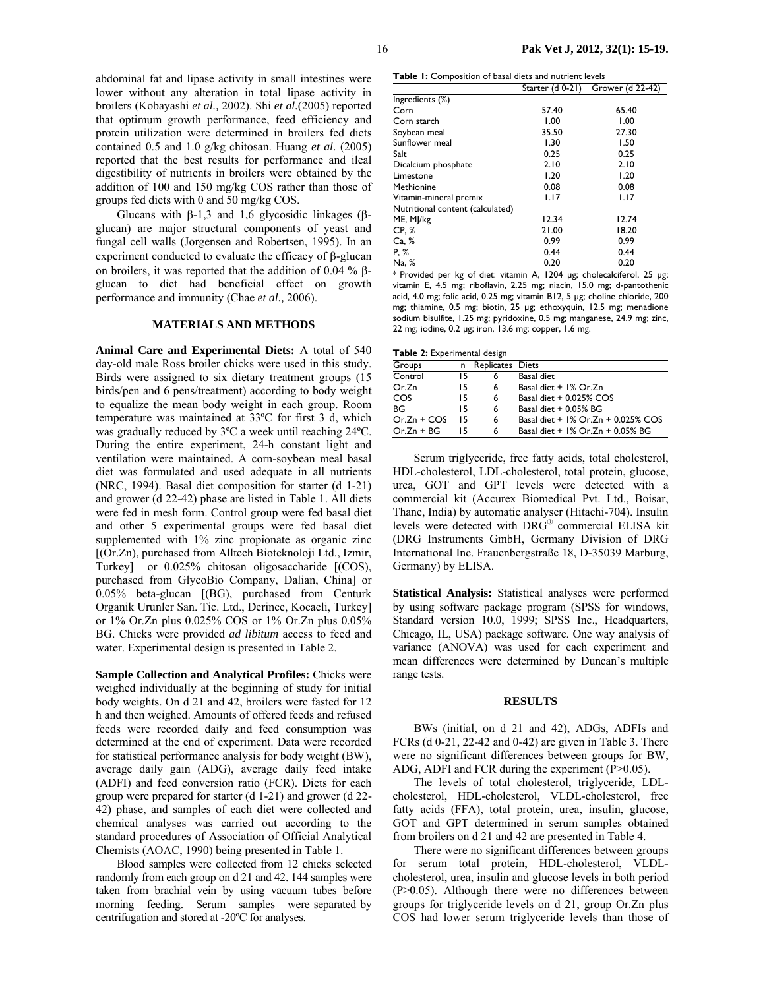abdominal fat and lipase activity in small intestines were lower without any alteration in total lipase activity in broilers (Kobayashi *et al.,* 2002). Shi *et al.*(2005) reported that optimum growth performance, feed efficiency and protein utilization were determined in broilers fed diets contained 0.5 and 1.0 g/kg chitosan. Huang *et al.* (2005) reported that the best results for performance and ileal digestibility of nutrients in broilers were obtained by the addition of 100 and 150 mg/kg COS rather than those of groups fed diets with 0 and 50 mg/kg COS.

Glucans with  $β-1,3$  and 1,6 glycosidic linkages ( $β$ glucan) are major structural components of yeast and fungal cell walls (Jorgensen and Robertsen, 1995). In an experiment conducted to evaluate the efficacy of β-glucan on broilers, it was reported that the addition of 0.04 % βglucan to diet had beneficial effect on growth performance and immunity (Chae *et al.,* 2006).

## **MATERIALS AND METHODS**

**Animal Care and Experimental Diets:** A total of 540 day-old male Ross broiler chicks were used in this study. Birds were assigned to six dietary treatment groups (15 birds/pen and 6 pens/treatment) according to body weight to equalize the mean body weight in each group. Room temperature was maintained at 33ºC for first 3 d, which was gradually reduced by 3ºC a week until reaching 24ºC. During the entire experiment, 24-h constant light and ventilation were maintained. A corn-soybean meal basal diet was formulated and used adequate in all nutrients (NRC, 1994). Basal diet composition for starter (d 1-21) and grower (d 22-42) phase are listed in Table 1. All diets were fed in mesh form. Control group were fed basal diet and other 5 experimental groups were fed basal diet supplemented with 1% zinc propionate as organic zinc [(Or.Zn), purchased from Alltech Bioteknoloji Ltd., Izmir, Turkey] or 0.025% chitosan oligosaccharide [(COS), purchased from GlycoBio Company, Dalian, China] or 0.05% beta-glucan [(BG), purchased from Centurk Organik Urunler San. Tic. Ltd., Derince, Kocaeli, Turkey] or 1% Or.Zn plus 0.025% COS or 1% Or.Zn plus 0.05% BG. Chicks were provided *ad libitum* access to feed and water. Experimental design is presented in Table 2.

**Sample Collection and Analytical Profiles:** Chicks were weighed individually at the beginning of study for initial body weights. On d 21 and 42, broilers were fasted for 12 h and then weighed. Amounts of offered feeds and refused feeds were recorded daily and feed consumption was determined at the end of experiment. Data were recorded for statistical performance analysis for body weight (BW), average daily gain (ADG), average daily feed intake (ADFI) and feed conversion ratio (FCR). Diets for each group were prepared for starter (d 1-21) and grower (d 22- 42) phase, and samples of each diet were collected and chemical analyses was carried out according to the standard procedures of Association of Official Analytical Chemists (AOAC, 1990) being presented in Table 1.

Blood samples were collected from 12 chicks selected randomly from each group on d 21 and 42. 144 samples were taken from brachial vein by using vacuum tubes before morning feeding. Serum samples were separated by centrifugation and stored at -20ºC for analyses.

**Table 1:** Composition of basal diets and nutrient levels

|                                  |       | Starter (d 0-21) Grower (d 22-42) |
|----------------------------------|-------|-----------------------------------|
| Ingredients (%)                  |       |                                   |
| Corn                             | 57.40 | 65.40                             |
| Corn starch                      | 1.00  | 1.00                              |
| Soybean meal                     | 35.50 | 27.30                             |
| Sunflower meal                   | 1.30  | 1.50                              |
| Salt                             | 0.25  | 0.25                              |
| Dicalcium phosphate              | 2.10  | 2.10                              |
| Limestone                        | 1.20  | 1.20                              |
| Methionine                       | 0.08  | 0.08                              |
| Vitamin-mineral premix           | 1.17  | 1.17                              |
| Nutritional content (calculated) |       |                                   |
| ME, MJ/kg                        | 12.34 | 12.74                             |
| CP. %                            | 21.00 | 18.20                             |
| Ca, %                            | 0.99  | 0.99                              |
| P. %                             | 0.44  | 0.44                              |
| Na, %                            | 0.20  | 0.20                              |

\* Provided per kg of diet: vitamin A, 1204 µg; cholecalciferol, 25 µg; vitamin E, 4.5 mg; riboflavin, 2.25 mg; niacin, 15.0 mg; d-pantothenic acid, 4.0 mg; folic acid, 0.25 mg; vitamin B12, 5 µg; choline chloride, 200 mg; thiamine, 0.5 mg; biotin, 25 µg; ethoxyquin, 12.5 mg; menadione sodium bisulfite, 1.25 mg; pyridoxine, 0.5 mg; manganese, 24.9 mg; zinc, 22 mg; iodine, 0.2 µg; iron, 13.6 mg; copper, 1.6 mg.

|  |  |  | Table 2: Experimental design |  |
|--|--|--|------------------------------|--|
|--|--|--|------------------------------|--|

| Groups        | n. | Replicates Diets |                                         |
|---------------|----|------------------|-----------------------------------------|
| Control       | 15 | 6                | Basal diet                              |
| Or.Zn         | 15 | 6                | Basal diet + 1% Or.Zn                   |
| COS           | 15 | 6                | Basal diet $+0.025\%$ COS               |
| ВG            | 15 | 6                | Basal diet $+$ 0.05% BG                 |
| $Or.Zn + COS$ | 15 | 6                | Basal diet $+$ 1% Or. Zn $+$ 0.025% COS |
| $Or.Zn + BG$  | 15 | 6                | Basal diet + 1% Or. Zn + 0.05% BG       |

Serum triglyceride, free fatty acids, total cholesterol, HDL-cholesterol, LDL-cholesterol, total protein, glucose, urea, GOT and GPT levels were detected with a commercial kit (Accurex Biomedical Pvt. Ltd., Boisar, Thane, India) by automatic analyser (Hitachi-704). Insulin levels were detected with DRG® commercial ELISA kit (DRG Instruments GmbH, Germany Division of DRG International Inc. Frauenbergstraße 18, D-35039 Marburg, Germany) by ELISA.

**Statistical Analysis:** Statistical analyses were performed by using software package program (SPSS for windows, Standard version 10.0, 1999; SPSS Inc., Headquarters, Chicago, IL, USA) package software. One way analysis of variance (ANOVA) was used for each experiment and mean differences were determined by Duncan's multiple range tests.

#### **RESULTS**

BWs (initial, on d 21 and 42), ADGs, ADFIs and FCRs (d 0-21, 22-42 and 0-42) are given in Table 3. There were no significant differences between groups for BW, ADG, ADFI and FCR during the experiment (P>0.05).

The levels of total cholesterol, triglyceride, LDLcholesterol, HDL-cholesterol, VLDL-cholesterol, free fatty acids (FFA), total protein, urea, insulin, glucose, GOT and GPT determined in serum samples obtained from broilers on d 21 and 42 are presented in Table 4.

There were no significant differences between groups for serum total protein, HDL-cholesterol, VLDLcholesterol, urea, insulin and glucose levels in both period (P>0.05). Although there were no differences between groups for triglyceride levels on d 21, group Or.Zn plus COS had lower serum triglyceride levels than those of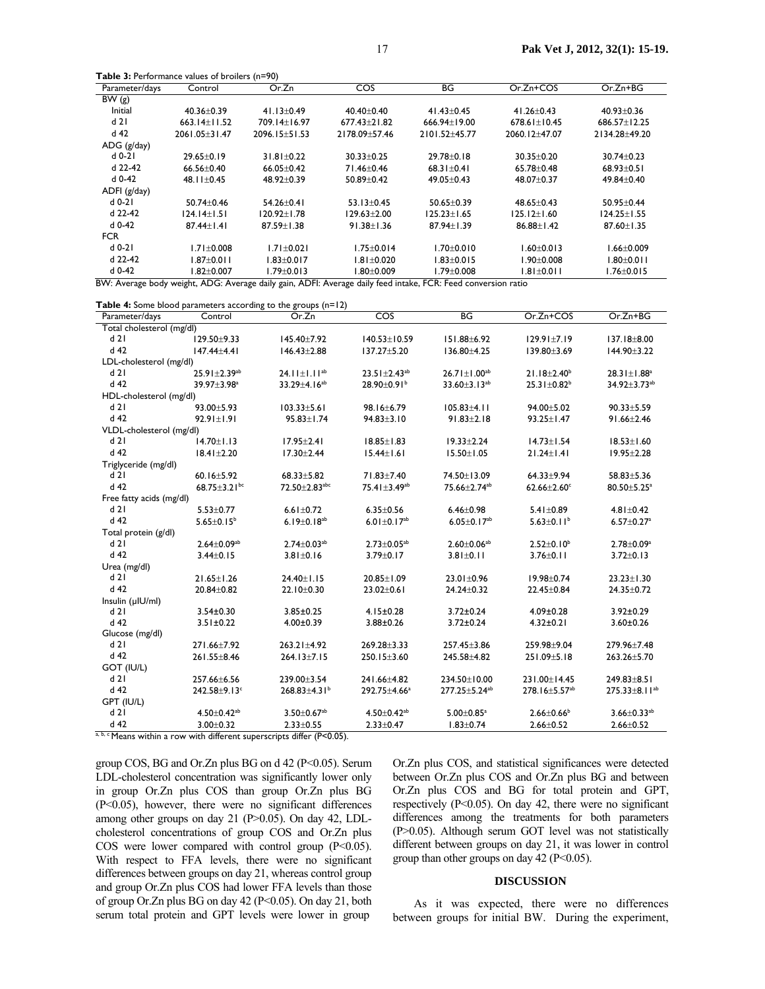| <b>EXECUTE:</b> $\frac{1}{2}$ . Ferror mance values of profilers (i) – $\frac{1}{2}$ |                  |                  |                  |                      |                     |                  |  |
|--------------------------------------------------------------------------------------|------------------|------------------|------------------|----------------------|---------------------|------------------|--|
| Parameter/days                                                                       | Control          | Or.Zn            | COS              | ВG                   | Or.Zn+COS           | $Or.Zn+BG$       |  |
| BW(g)                                                                                |                  |                  |                  |                      |                     |                  |  |
| Initial                                                                              | $40.36 \pm 0.39$ | $41.13 \pm 0.49$ | $40.40 + 0.40$   | $41.43 \pm 0.45$     | $41.26 \pm 0.43$    | $40.93 \pm 0.36$ |  |
| d21                                                                                  | $663.14+11.52$   | 709.14±16.97     | $677.43 + 21.82$ | 666.94+19.00         | $678.6$   + $10.45$ | $686.57 + 12.25$ |  |
| $d$ 42                                                                               | 2061.05+31.47    | 2096.15+51.53    | 2178.09 ± 57.46  | 2101.52+45.77        | 2060.12+47.07       | 2134.28+49.20    |  |
| ADG (g/day)                                                                          |                  |                  |                  |                      |                     |                  |  |
| d 0-21                                                                               | $29.65 \pm 0.19$ | $31.81 \pm 0.22$ | $30.33 \pm 0.25$ | $29.78 \pm 0.18$     | $30.35 \pm 0.20$    | $30.74 \pm 0.23$ |  |
| d 22-42                                                                              | $66.56 + 0.40$   | $66.05 + 0.42$   | 71.46+0.46       | $68.3$ $+0.4$ $+0.4$ | $65.78 + 0.48$      | $68.93 + 0.51$   |  |
| $d$ 0-42                                                                             | 48.11±0.45       | 48.92+0.39       | $50.89 \pm 0.42$ | 49.05±0.43           | 48.07±0.37          | 49.84±0.40       |  |
| ADFI (g/day)                                                                         |                  |                  |                  |                      |                     |                  |  |
| $d$ 0-21                                                                             | $50.74 \pm 0.46$ | $54.26 + 0.41$   | $53.13 + 0.45$   | $50.65 + 0.39$       | $48.65 + 0.43$      | $50.95 \pm 0.44$ |  |
| d 22-42                                                                              | 124.14+1.51      | 120.92+1.78      | 129.63+2.00      | 125.23+1.65          | 125.12+1.60         | $124.25 + 1.55$  |  |
| d 0-42                                                                               | $87.44 + 1.41$   | $87.59 + 1.38$   | $91.38 \pm 1.36$ | $87.94 + 1.39$       | $86.88 \pm 1.42$    | $87.60 \pm 1.35$ |  |
| <b>FCR</b>                                                                           |                  |                  |                  |                      |                     |                  |  |
| $d$ 0-21                                                                             | $1.71 \pm 0.008$ | $1.71 + 0.021$   | $1.75 + 0.014$   | $1.70 + 0.010$       | $1.60 \pm 0.013$    | $1.66 \pm 0.009$ |  |
| d 22-42                                                                              | $1.87 + 0.011$   | $1.83 \pm 0.017$ | $1.81 \pm 0.020$ | $1.83 \pm 0.015$     | 1.90±0.008          | l .80±0.0 l l    |  |
| $d$ 0-42                                                                             | $.82 \pm 0.007$  | $.79 \pm 0.013$  | 1.80±0.009       | l.79±0.008           | 1.81±0.011          | $1.76 \pm 0.015$ |  |

BW: Average body weight, ADG: Average daily gain, ADFI: Average daily feed intake, FCR: Feed conversion ratio

**Table 4:** Some blood parameters according to the groups (n=12)

**Table 3:** Performance values of broilers (n=90)

| Parameter/days            | Control                        | Or.Zn                                                                   | COS                            | BG                            | Or.Zn+COS                     | $Or.Zn+BG$                    |
|---------------------------|--------------------------------|-------------------------------------------------------------------------|--------------------------------|-------------------------------|-------------------------------|-------------------------------|
| Total cholesterol (mg/dl) |                                |                                                                         |                                |                               |                               |                               |
| d21                       | 129.50±9.33                    | 145.40±7.92                                                             | 140.53±10.59                   | 151.88±6.92                   | 129.91±7.19                   | 137.18±8.00                   |
| $d$ 42                    | $147.44 \pm 4.41$              | $146.43 \pm 2.88$                                                       | 137.27±5.20                    | 136.80±4.25                   | 139.80±3.69                   | 144.90±3.22                   |
| LDL-cholesterol (mg/dl)   |                                |                                                                         |                                |                               |                               |                               |
| d21                       | $25.91 \pm 2.39^{ab}$          | 24.11 $\pm$ 1.11 <sup>ab</sup>                                          | $23.51 \pm 2.43$ <sup>ab</sup> | $26.71 \pm 1.00^{ab}$         | $21.18 \pm 2.40^b$            | $28.31 \pm 1.88^a$            |
| d 42                      | 39.97±3.98 <sup>a</sup>        | $33.29 \pm 4.16^{ab}$                                                   | 28.90±0.91 <sup>b</sup>        | 33.60±3.13 <sup>ab</sup>      | $25.31 \pm 0.82^b$            | 34.92±3.73 <sup>ab</sup>      |
| HDL-cholesterol (mg/dl)   |                                |                                                                         |                                |                               |                               |                               |
| d21                       | $93.00 + 5.93$                 | $103.33 \pm 5.61$                                                       | 98.16±6.79                     | $105.83 \pm 4.11$             | 94.00±5.02                    | $90.33 \pm 5.59$              |
| $d$ 42                    | $92.91 \pm 1.91$               | $95.83 \pm 1.74$                                                        | $94.83 \pm 3.10$               | $91.83 \pm 2.18$              | 93.25±1.47                    | 91.66±2.46                    |
| VLDL-cholesterol (mg/dl)  |                                |                                                                         |                                |                               |                               |                               |
| d21                       | $14.70 \pm 1.13$               | $17.95 \pm 2.41$                                                        | $18.85 \pm 1.83$               | $19.33 \pm 2.24$              | $14.73 \pm 1.54$              | $18.53 \pm 1.60$              |
| $d$ 42                    | $18.41 \pm 2.20$               | $17.30 \pm 2.44$                                                        | $15.44 \pm 1.61$               | $15.50 \pm 1.05$              | $21.24 \pm 1.41$              | $19.95 \pm 2.28$              |
| Triglyceride (mg/dl)      |                                |                                                                         |                                |                               |                               |                               |
| d21                       | $60.16 \pm 5.92$               | $68.33 \pm 5.82$                                                        | 71.83±7.40                     | 74.50±13.09                   | $64.33 + 9.94$                | 58.83±5.36                    |
| $d$ 42                    | 68.75 $\pm$ 3.21 <sup>bc</sup> | 72.50±2.83abc                                                           | 75.41±3.49 <sup>ab</sup>       | 75.66±2.74 <sup>ab</sup>      | $62.66 \pm 2.60$ <sup>c</sup> | 80.50±5.25 <sup>a</sup>       |
| Free fatty acids (mg/dl)  |                                |                                                                         |                                |                               |                               |                               |
| d21                       | $5.53 \pm 0.77$                | $6.61 \pm 0.72$                                                         | $6.35 \pm 0.56$                | $6.46 \pm 0.98$               | $5.41 \pm 0.89$               | $4.81 \pm 0.42$               |
| d 42                      | 5.65 $\pm$ 0.15 <sup>b</sup>   | 6.19 $\pm$ 0.18 <sup>ab</sup>                                           | 6.01 $\pm$ 0.17 <sup>ab</sup>  | 6.05 $\pm$ 0.17 <sup>ab</sup> | 5.63 $\pm$ 0.11 <sup>b</sup>  | $6.57 \pm 0.27$ <sup>a</sup>  |
| Total protein (g/dl)      |                                |                                                                         |                                |                               |                               |                               |
| d21                       | $2.64 \pm 0.09^{ab}$           | $2.74 \pm 0.03$ <sup>ab</sup>                                           | $2.73 \pm 0.05^{ab}$           | $2.60 \pm 0.06^{ab}$          | $2.52 \pm 0.10^b$             | $2.78 \pm 0.09^a$             |
| $d$ 42                    | $3.44 \pm 0.15$                | $3.81 \pm 0.16$                                                         | $3.79 \pm 0.17$                | $3.81 \pm 0.11$               | $3.76 \pm 0.11$               | $3.72 \pm 0.13$               |
| Urea (mg/dl)              |                                |                                                                         |                                |                               |                               |                               |
| d21                       | $21.65 \pm 1.26$               | $24.40 \pm 1.15$                                                        | 20.85±1.09                     | $23.01 \pm 0.96$              | $19.98 \pm 0.74$              | $23.23 \pm 1.30$              |
| $d$ 42                    | $20.84 \pm 0.82$               | 22.10±0.30                                                              | 23.02±0.61                     | $24.24 \pm 0.32$              | 22.45±0.84                    | 24.35±0.72                    |
| Insulin (µIU/ml)          |                                |                                                                         |                                |                               |                               |                               |
| d21                       | $3.54 \pm 0.30$                | $3.85 \pm 0.25$                                                         | $4.15 \pm 0.28$                | $3.72 \pm 0.24$               | $4.09 \pm 0.28$               | $3.92 \pm 0.29$               |
| d 42                      | $3.51 \pm 0.22$                | $4.00 \pm 0.39$                                                         | 3.88±0.26                      | $3.72 \pm 0.24$               | $4.32 \pm 0.21$               | $3.60 \pm 0.26$               |
| Glucose (mg/dl)           |                                |                                                                         |                                |                               |                               |                               |
| d 21                      | 271.66±7.92                    | $263.21 \pm 4.92$                                                       | 269.28±3.33                    | 257.45±3.86                   | 259.98±9.04                   | 279.96±7.48                   |
| d 42                      | 261.55±8.46                    | $264.13 \pm 7.15$                                                       | $250.15 \pm 3.60$              | 245.58±4.82                   | 251.09±5.18                   | 263.26±5.70                   |
| GOT (IU/L)                |                                |                                                                         |                                |                               |                               |                               |
| d21                       | 257.66±6.56                    | 239.00±3.54                                                             | 241.66±4.82                    | 234.50±10.00                  | 231.00±14.45                  | 249.83±8.51                   |
| d 42                      | 242.58±9.13c                   | $268.83 \pm 4.31^b$                                                     | 292.75±4.66 <sup>a</sup>       | 277.25±5.24 <sup>ab</sup>     | 278.16±5.57 <sup>ab</sup>     | 275.33±8.11 <sup>ab</sup>     |
| GPT (IU/L)                |                                |                                                                         |                                |                               |                               |                               |
| d21                       | $4.50 \pm 0.42$ <sup>ab</sup>  | $3.50 \pm 0.67$ <sup>ab</sup>                                           | $4.50 \pm 0.42$ <sup>ab</sup>  | $5.00 \pm 0.85$ <sup>a</sup>  | $2.66 \pm 0.66$               | $3.66 \pm 0.33$ <sup>ab</sup> |
| $d$ 42                    | $3.00 \pm 0.32$                | $2.33 \pm 0.55$                                                         | $2.33 \pm 0.47$                | $1.83 \pm 0.74$               | $2.66 \pm 0.52$               | $2.66 \pm 0.52$               |
|                           |                                | a, b, c Means within a row with different superscripts differ (P<0.05). |                                |                               |                               |                               |

group COS, BG and Or.Zn plus BG on d 42 (P<0.05). Serum LDL-cholesterol concentration was significantly lower only in group Or.Zn plus COS than group Or.Zn plus BG (P<0.05), however, there were no significant differences among other groups on day 21 (P>0.05). On day 42, LDLcholesterol concentrations of group COS and Or.Zn plus COS were lower compared with control group  $(P<0.05)$ . With respect to FFA levels, there were no significant differences between groups on day 21, whereas control group and group Or.Zn plus COS had lower FFA levels than those of group Or.Zn plus BG on day 42 (P<0.05). On day 21, both serum total protein and GPT levels were lower in group

Or.Zn plus COS, and statistical significances were detected between Or.Zn plus COS and Or.Zn plus BG and between Or.Zn plus COS and BG for total protein and GPT, respectively (P<0.05). On day 42, there were no significant differences among the treatments for both parameters (P>0.05). Although serum GOT level was not statistically different between groups on day 21, it was lower in control group than other groups on day 42 (P<0.05).

### **DISCUSSION**

As it was expected, there were no differences between groups for initial BW. During the experiment,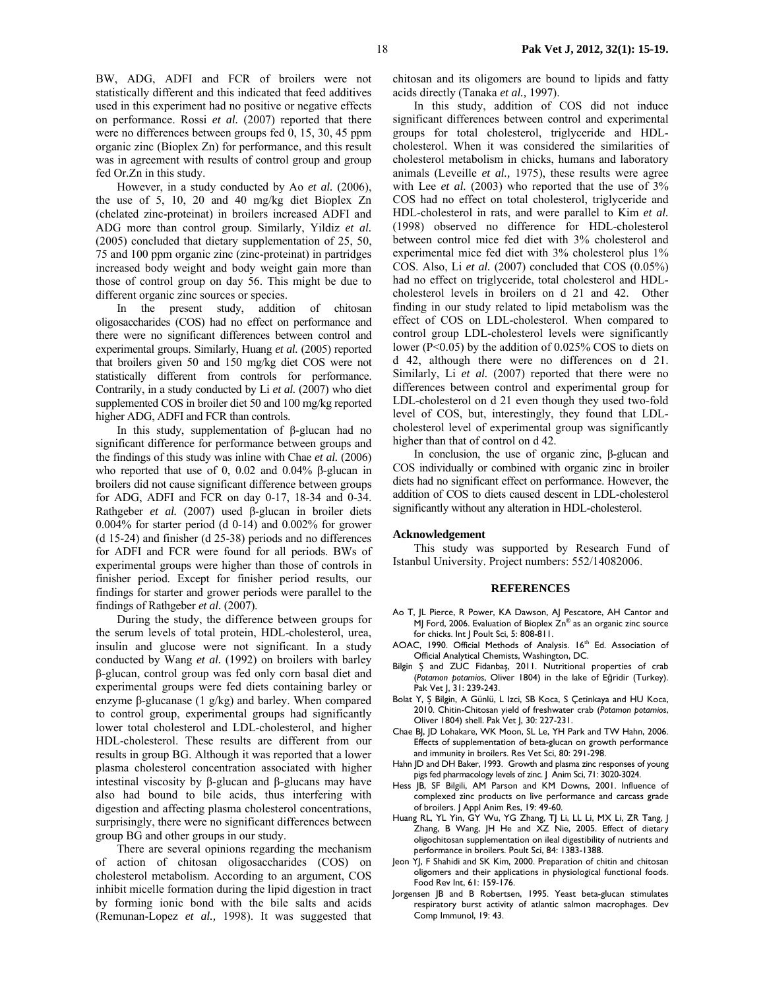BW, ADG, ADFI and FCR of broilers were not statistically different and this indicated that feed additives used in this experiment had no positive or negative effects on performance. Rossi *et al.* (2007) reported that there were no differences between groups fed 0, 15, 30, 45 ppm organic zinc (Bioplex Zn) for performance, and this result was in agreement with results of control group and group fed Or.Zn in this study.

However, in a study conducted by Ao *et al.* (2006), the use of 5, 10, 20 and 40 mg/kg diet Bioplex Zn (chelated zinc-proteinat) in broilers increased ADFI and ADG more than control group. Similarly, Yildiz *et al.* (2005) concluded that dietary supplementation of 25, 50, 75 and 100 ppm organic zinc (zinc-proteinat) in partridges increased body weight and body weight gain more than those of control group on day 56. This might be due to different organic zinc sources or species.

In the present study, addition of chitosan oligosaccharides (COS) had no effect on performance and there were no significant differences between control and experimental groups. Similarly, Huang *et al.* (2005) reported that broilers given 50 and 150 mg/kg diet COS were not statistically different from controls for performance. Contrarily, in a study conducted by Li *et al.* (2007) who diet supplemented COS in broiler diet 50 and 100 mg/kg reported higher ADG, ADFI and FCR than controls.

In this study, supplementation of β-glucan had no significant difference for performance between groups and the findings of this study was inline with Chae *et al.* (2006) who reported that use of 0, 0.02 and 0.04% β-glucan in broilers did not cause significant difference between groups for ADG, ADFI and FCR on day 0-17, 18-34 and 0-34. Rathgeber *et al.* (2007) used β-glucan in broiler diets  $0.004\%$  for starter period (d 0-14) and  $0.002\%$  for grower (d 15-24) and finisher (d 25-38) periods and no differences for ADFI and FCR were found for all periods. BWs of experimental groups were higher than those of controls in finisher period. Except for finisher period results, our findings for starter and grower periods were parallel to the findings of Rathgeber *et al.* (2007).

During the study, the difference between groups for the serum levels of total protein, HDL-cholesterol, urea, insulin and glucose were not significant. In a study conducted by Wang *et al.* (1992) on broilers with barley β-glucan, control group was fed only corn basal diet and experimental groups were fed diets containing barley or enzyme β-glucanase (1 g/kg) and barley. When compared to control group, experimental groups had significantly lower total cholesterol and LDL-cholesterol, and higher HDL-cholesterol. These results are different from our results in group BG. Although it was reported that a lower plasma cholesterol concentration associated with higher intestinal viscosity by β-glucan and β-glucans may have also had bound to bile acids, thus interfering with digestion and affecting plasma cholesterol concentrations, surprisingly, there were no significant differences between group BG and other groups in our study.

There are several opinions regarding the mechanism of action of chitosan oligosaccharides (COS) on cholesterol metabolism. According to an argument, COS inhibit micelle formation during the lipid digestion in tract by forming ionic bond with the bile salts and acids (Remunan-Lopez *et al.,* 1998). It was suggested that

chitosan and its oligomers are bound to lipids and fatty acids directly (Tanaka *et al.,* 1997).

In this study, addition of COS did not induce significant differences between control and experimental groups for total cholesterol, triglyceride and HDLcholesterol. When it was considered the similarities of cholesterol metabolism in chicks, humans and laboratory animals (Leveille *et al.,* 1975), these results were agree with Lee *et al.* (2003) who reported that the use of 3% COS had no effect on total cholesterol, triglyceride and HDL-cholesterol in rats, and were parallel to Kim *et al.* (1998) observed no difference for HDL-cholesterol between control mice fed diet with 3% cholesterol and experimental mice fed diet with 3% cholesterol plus 1% COS. Also, Li *et al.* (2007) concluded that COS (0.05%) had no effect on triglyceride, total cholesterol and HDLcholesterol levels in broilers on d 21 and 42. Other finding in our study related to lipid metabolism was the effect of COS on LDL-cholesterol. When compared to control group LDL-cholesterol levels were significantly lower (P<0.05) by the addition of 0.025% COS to diets on d 42, although there were no differences on d 21. Similarly, Li *et al.* (2007) reported that there were no differences between control and experimental group for LDL-cholesterol on d 21 even though they used two-fold level of COS, but, interestingly, they found that LDLcholesterol level of experimental group was significantly higher than that of control on d 42.

In conclusion, the use of organic zinc, β-glucan and COS individually or combined with organic zinc in broiler diets had no significant effect on performance. However, the addition of COS to diets caused descent in LDL-cholesterol significantly without any alteration in HDL-cholesterol.

## **Acknowledgement**

This study was supported by Research Fund of Istanbul University. Project numbers: 552/14082006.

### **REFERENCES**

- Ao T, JL Pierce, R Power, KA Dawson, AJ Pescatore, AH Cantor and MJ Ford, 2006. Evaluation of Bioplex  $\bar{Z}n^{\circledast}$  as an organic zinc source for chicks. Int J Poult Sci, 5: 808-811.
- AOAC, 1990. Official Methods of Analysis. 16<sup>th</sup> Ed. Association of Official Analytical Chemists, Washington, DC.
- Bilgin Ș and ZUC Fidanbaș, 2011. Nutritional properties of crab (*Potamon potamios*, Oliver 1804) in the lake of Eğridir (Turkey). Pak Vet J, 31: 239-243.
- Bolat Y, Ș Bilgin, A Günlü, L Izci, SB Koca, S Çetinkaya and HU Koca, 2010. Chitin-Chitosan yield of freshwater crab (*Potamon potamios*, Oliver 1804) shell. Pak Vet J, 30: 227-231.
- Chae BJ, JD Lohakare, WK Moon, SL Le, YH Park and TW Hahn, 2006. Effects of supplementation of beta-glucan on growth performance and immunity in broilers. Res Vet Sci, 80: 291-298.
- Hahn JD and DH Baker, 1993. Growth and plasma zinc responses of young pigs fed pharmacology levels of zinc. J Anim Sci, 71: 3020-3024.
- Hess JB, SF Bilgili, AM Parson and KM Downs, 2001. Influence of complexed zinc products on live performance and carcass grade of broilers. J Appl Anim Res, 19: 49-60.
- Huang RL, YL Yin, GY Wu, YG Zhang, TJ Li, LL Li, MX Li, ZR Tang, J Zhang, B Wang, JH He and XZ Nie, 2005. Effect of dietary oligochitosan supplementation on ileal digestibility of nutrients and performance in broilers. Poult Sci, 84: 1383-1388.
- Jeon YJ, F Shahidi and SK Kim, 2000. Preparation of chitin and chitosan oligomers and their applications in physiological functional foods. Food Rev Int, 61: 159-176.
- Jorgensen JB and B Robertsen, 1995. Yeast beta-glucan stimulates respiratory burst activity of atlantic salmon macrophages. Dev Comp Immunol, 19: 43.